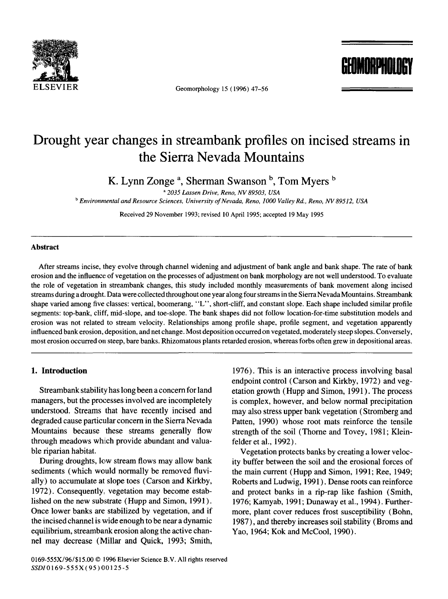

Geomorphology 15 (1996) 47-56

**GEOMORPHOLOGY** 

# **Drought year changes in streambank profiles on incised streams in the Sierra Nevada Mountains**

K. Lynn Zonge<sup>a</sup>, Sherman Swanson<sup>b</sup>, Tom Myers<sup>b</sup>

*2035 Lassen Drive, Reno, NV 89503, USA* 

*b Environmental and Resource Sciences, University of Nevada, Reno, 1000 Valley Rd., Reno, NV 89512, USA* 

Received 29 November 1993; revised 10 April 1995; accepted 19 May 1995

# **Abstract**

After streams incise, they evolve through channel widening and adjustment of bank angle and bank shape. The rate of bank erosion and the influence of vegetation on the processes of adjustment on bank morphology are not well understood. To evaluate the role of vegetation in streambank changes, this study included monthly measurements of bank movement along incised streams during a drought. Data were collected throughout one year along four streams in the Sierra Nevada Mountains. Streambank shape varied among five classes: vertical, boomerang, "L", short-cliff, and constant slope. Each shape included similar profile segments: top-bank, cliff, mid-slope, and toe-slope. The bank shapes did not follow location-for-time substitution models and erosion was not related to stream velocity. Relationships among profile shape, profile segment, and vegetation apparently influenced bank erosion, deposition, and net change. Most deposition occurred on vegetated, moderately steep slopes. Conversely, most erosion occurred on steep, bare banks. Rhizomatous plants retarded erosion, whereas forbs often grew in depositional areas.

### **I. Introduction**

Streambank stability has long been a concern for land managers, but the processes involved are incompletely understood. Streams that have recently incised and degraded cause particular concern in the Sierra Nevada Mountains because these streams generally flow through meadows which provide abundant and valuable riparian habitat.

During droughts, low stream flows may allow bank sediments (which would normally be removed fluvially) to accumulate at slope toes (Carson and Kirkby, 1972). Consequently, vegetation may become established on the new substrate (Hupp and Simon, 1991). Once lower banks are stabilized by vegetation, and if the incised channel is wide enough to be near a dynamic equilibrium, streambank erosion along the active channel may decrease (Millar and Quick, 1993; Smith,

1976). This is an interactive process involving basal endpoint control (Carson and Kirkby, 1972) and vegetation growth (Hupp and Simon, 1991). The process is complex, however, and below normal precipitation may also stress upper bank vegetation (Stromberg and Patten, 1990) whose root mats reinforce the tensile strength of the soil (Thorne and Tovey, 1981; Kleinfelder et al., 1992).

Vegetation protects banks by creating a lower velocity buffer between the soil and the erosional forces of the main current (Hupp and Simon, 1991; Ree, 1949; Roberts and Ludwig, 1991 ). Dense roots can reinforce and protect banks in a rip-rap like fashion (Smith, 1976; Kamyab, 1991; Dunaway et al., 1994). Furthermore, plant cover reduces frost susceptibility (Bohn, 1987), and thereby increases soil stability (Broms and Yao, 1964; Kok and McCool, 1990).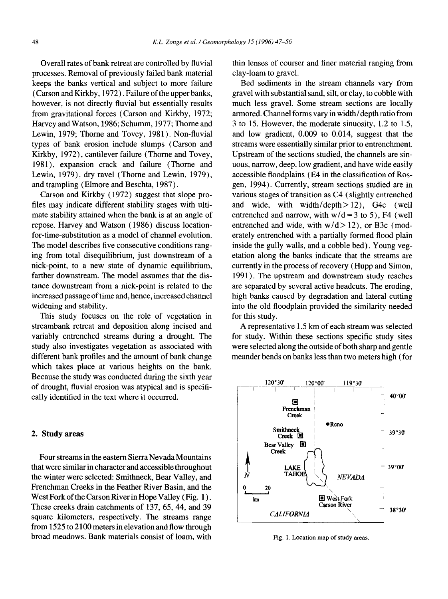Overall rates of bank retreat are controlled by fluvial processes. Removal of previously failed bank material keeps the banks vertical and subject to more failure (Carson and Kirkby, 1972). Failure of the upper banks, however, is not directly fluvial but essentially results from gravitational forces (Carson and Kirkby, 1972; Harvey and Watson, 1986; Schumm, 1977; Thorne and Lewin, 1979; Thorne and Tovey, 1981). Non-fluvial types of bank erosion include slumps (Carson and Kirkby, 1972), cantilever failure (Thorne and Tovey, 1981), expansion crack and failure (Thome and Lewin, 1979), dry ravel (Thorne and Lewin, 1979), and trampling (Elmore and Beschta, 1987).

Carson and Kirkby (1972) suggest that slope profiles may indicate different stability stages with ultimate stability attained when the bank is at an angle of repose. Harvey and Watson (1986) discuss locationfor-time-substitution as a model of channel evolution. The model describes five consecutive conditions ranging from total disequilibrium, just downstream of a nick-point, to a new state of dynamic equilibrium, farther downstream. The model assumes that the distance downstream from a nick-point is related to the increased passage of time and, hence, increased channel widening and stability.

This study focuses on the role of vegetation in streambank retreat and deposition along incised and variably entrenched streams during a drought. The study also investigates vegetation as associated with different bank profiles and the amount of bank change which takes place at various heights on the bank. Because the study was conducted during the sixth year of drought, fluvial erosion was atypical and is specifically identified in the text where it occurred.

# **2. Study areas**

Four streams in the eastern Sierra Nevada Mountains that were similar in character and accessible throughout the winter were selected: Smithneck, Bear Valley, and Frenchman Creeks in the Feather River Basin, and the West Fork of the Carson River in Hope Valley (Fig. 1). These creeks drain catchments of 137, 65, 44, and 39 square kilometers, respectively. The streams range from 1525 to 2100 meters in elevation and flow through broad meadows. Bank materials consist of loam, with

thin lenses of courser and finer material ranging from clay-loam to gravel.

Bed sediments in the stream channels vary from gravel with substantial sand, silt, or clay, to cobble with much less gravel. Some stream sections are locally armored. Channel forms vary in width/depth ratio from 3 to 15. However, the moderate sinuosity, 1.2 to 1.5, and low gradient, 0.009 to 0.014, suggest that the streams were essentially similar prior to entrenchment. Upstream of the sections studied, the channels are sinuous, narrow, deep, low gradient, and have wide easily accessible floodplains (E4 in the classification of Rosgen, 1994). Currently, stream sections studied are in various stages of transition as C4 (slightly entrenched and wide, with width/depth>12), G4c (well entrenched and narrow, with  $w/d = 3$  to 5), F4 (well entrenched and wide, with  $w/d > 12$ ), or B3c (moderately entrenched with a partially formed flood plain inside the gully walls, and a cobble bed). Young vegetation along the banks indicate that the streams are currently in the process of recovery (Hupp and Simon, 1991). The upstream and downstream study reaches are separated by several active headcuts. The eroding, high banks caused by degradation and lateral cutting into the old floodplain provided the similarity needed for this study.

A representative 1.5 km of each stream was selected for study. Within these sections specific study sites were selected along the outside of both sharp and gentle meander bends on banks less than two meters high (for



Fig. 1. Location map of study areas.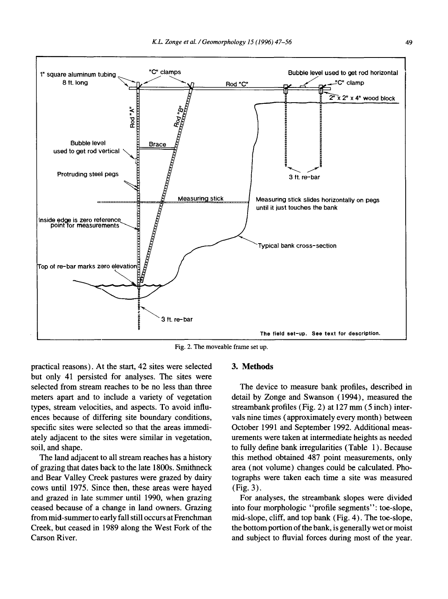

Fig. 2. The moveable frame set up.

practical reasons). At the start, 42 sites were selected but only 41 persisted for analyses. The sites were selected from stream reaches to be no less than three meters apart and to include a variety of vegetation types, stream velocities, and aspects. To avoid influences because of ditfering site boundary conditions, specific sites were selected so that the areas immediately adjacent to the sites were similar in vegetation, soil, and shape.

The land adjacent to all stream reaches has a history of grazing that dates back to the late 1800s. Smithneck and Bear Valley Creek pastures were grazed by dairy cows until 1975. Since then, these areas were hayed and grazed in late summer until 1990, when grazing ceased because of a change in land owners. Grazing from mid-summer to early fall still occurs at Frenchman Creek, but ceased in 1989 along the West Fork of the Carson River.

### **3. Methods**

The device to measure bank profiles, described in detail by Zonge and Swanson (1994), measured the streambank profiles (Fig. 2) at 127 mm (5 inch) intervals nine times (approximately every month) between October 1991 and September 1992. Additional measurements were taken at intermediate heights as needed to fully define bank irregularities (Table 1). Because this method obtained 487 point measurements, only area (not volume) changes could be calculated. Photographs were taken each time a site was measured (Fig. 3).

For analyses, the streambank slopes were divided into four morphologic "profile segments": toe-slope, mid-slope, cliff, and top bank (Fig. 4). The toe-slope, the bottom portion of the bank, is generally wet or moist and subject to fluvial forces during most of the year.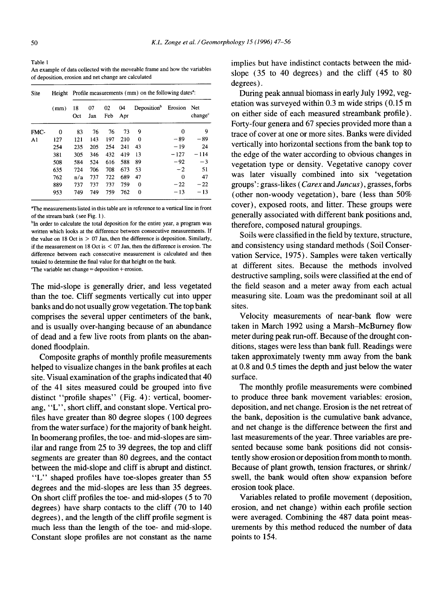Table 1 An example of data collected with the moveable frame and how the variables of deposition, erosion and net change are calculated

| Site           | Height<br>(mm) | Profile measurements (mm) on the following dates <sup>a</sup> : |           |           |           |                         |         |                            |  |
|----------------|----------------|-----------------------------------------------------------------|-----------|-----------|-----------|-------------------------|---------|----------------------------|--|
|                |                | 18<br>Oct                                                       | 07<br>Jan | 02<br>Feb | 04<br>Apr | Deposition <sup>b</sup> | Erosion | Net<br>change <sup>c</sup> |  |
| FMC-           | 0              | 83                                                              | 76        | 76        | 73        | 9                       | 0       | 9                          |  |
| A <sub>1</sub> | 127            | 121                                                             | 143       | 197       | 210       | $\Omega$                | $-89$   | $-89$                      |  |
|                | 254            | 235                                                             | 205       | 254       | 241       | 43                      | $-19$   | 24                         |  |
|                | 381            | 305                                                             | 346       | 432       | 419       | 13                      | $-127$  | $-114$                     |  |
|                | 508            | 584                                                             | 524       | 616       | 588       | 89                      | $-92$   | $-3$                       |  |
|                | 635            | 724                                                             | 706       | 708       | 673       | 53                      | $-2$    | 51                         |  |
|                | 762            | n/a                                                             | 737       | 722       | 689       | 47                      | 0       | 47                         |  |
|                | 889            | 737                                                             | 737       | 737       | 759       | $\Omega$                | $-22$   | $-22$                      |  |
|                | 953            | 749                                                             | 749       | 759       | 762       | 0                       | $-13$   | $-13$                      |  |

aThe measurements listed in this table are in reference to a vertical line in front of the stream bank ( see Fig. 1 ).

<sup>b</sup>In order to calculate the total deposition for the entire year, a program was written which looks at the difference between consecutive measurements. If the value on 18 Oct is  $> 07$  Jan, then the difference is deposition. Similarly, if the measurement on 18 Oct is  $\leq$  07 Jan, then the difference is erosion. The difference between each consecutive measurement is calculated and then totaled to determine the final value for that height on the bank.

 $\text{``The variable net change} = \text{deposition} + \text{erosion}.$ 

The mid-slope is generally drier, and less vegetated than the toe. Cliff segments vertically cut into upper banks and do not usually grow vegetation. The top bank comprises the several upper centimeters of the bank, and is usually over-hanging because of an abundance of dead and a few live roots from plants on the abandoned floodplain.

Composite graphs of monthly profile measurements helped to visualize changes in the bank profiles at each site. Visual examination of the graphs indicated that 40 of the 41 sites measured could be grouped into five distinct "profile shapes" (Fig. 4): vertical, boomerang, "L", short cliff, and constant slope. Vertical profiles have greater than 80 degree slopes ( 100 degrees from the water surface) for the majority of bank height. In boomerang profiles, the toe- and mid-slopes are similar and range from 25 to 39 degrees, the top and cliff segments are greater than 80 degrees, and the contact between the mid-slope and cliff is abrupt and distinct. "L" shaped profiles have toe-slopes greater than 55 degrees and the mid-slopes are less than 35 degrees. On short cliff profiles the toe- and mid-slopes (5 to 70 degrees) have sharp contacts to the cliff (70 to 140 degrees), and the length of the cliff profile segment is much less than the length of the toe- and mid-slope. Constant slope profiles are not constant as the name

implies but have indistinct contacts between the midslope (35 to 40 degrees) and the cliff (45 to 80 degrees).

During peak annual biomass in early July 1992, vegetation was surveyed within 0.3 m wide strips (0.15 m on either side of each measured streambank profile). Forty-four genera and 67 species provided more than a trace of cover at one or more sites. Banks were divided vertically into horizontal sections from the bank top to the edge of the water according to obvious changes in vegetation type or density. Vegetative canopy cover was later visually combined into six 'vegetation groups': grass-likes (Carex *and Juncus),* grasses, forbs (other non-woody vegetation), bare (less than 50% cover), exposed roots, and litter. These groups were generally associated with different bank positions and, therefore, composed natural groupings.

Soils were classified in the field by texture, structure, and consistency using standard methods (Soil Conservation Service, 1975). Samples were taken vertically at different sites. Because the methods involved destructive sampling, soils were classified at the end of the field season and a meter away from each actual measuring site. Loam was the predominant soil at all sites.

Velocity measurements of near-bank flow were taken in March 1992 using a Marsh-McBurney flow meter during peak run-off. Because of the drought conditions, stages were less than bank full. Readings were taken approximately twenty mm away from the bank at 0.8 and 0.5 times the depth and just below the water surface.

The monthly profile measurements were combined to produce three bank movement variables: erosion, deposition, and net change. Erosion is the net retreat of the bank, deposition is the cumulative bank advance, and net change is the difference between the first and last measurements of the year. Three variables are presented because some bank positions did not consistently show erosion or deposition from month to month. Because of plant growth, tension fractures, or shrink/ swell, the bank would often show expansion before erosion took place.

Variables related to profile movement (deposition, erosion, and net change) within each profile section were averaged. Combining the 487 data point measurements by this method reduced the number of data points to 154.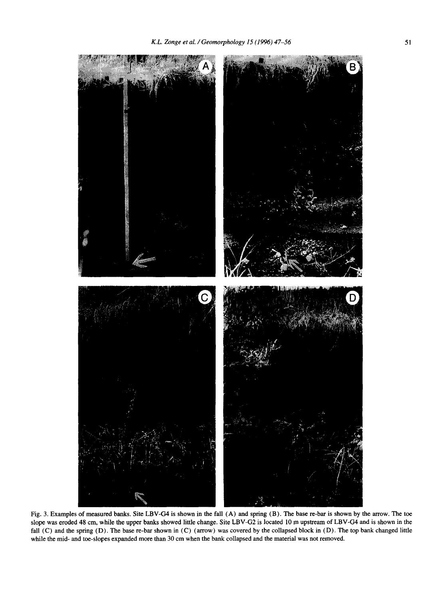

Fig. 3. Examples of measured banks. Site LBV-G4 is shown in the fall (A) and spring (B). The base re-bar is shown by the arrow. The toe slope was eroded 48 cm, while the upper banks showed little change. Site LBV-G2 is located 10 m upstream of LBV-G4 and is shown in the fall (C) and the spring (D). The base re-bar shown in (C) (arrow) was covered by the collapsed block in (D). The top bank changed little while the mid- and toe-slopes expanded more than 30 cm when the bank collapsed and the material was not removed.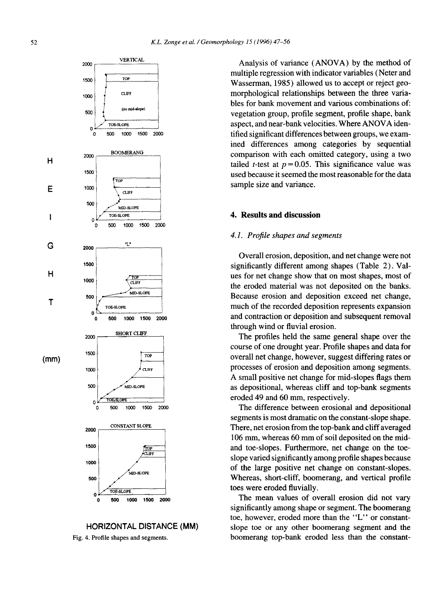

# HORIZONTAL DISTANCE **(MM)**

Fig. 4. Profile shapes and segments.

Analysis of variance (ANOVA) by the method of multiple regression with indicator variables (Neter and Wasserman, 1985) allowed us to accept or reject geomorphological relationships between the three variables for bank movement and various combinations of: vegetation group, profile segment, profile shape, bank aspect, and near-bank velocities. Where ANOVA identified significant differences between groups, we examined differences among categories by sequential comparison with each omitted category, using a two tailed *t*-test at  $p = 0.05$ . This significance value was used because it seemed the most reasonable for the data sample size and variance.

#### **4. Results and discussion**

#### *4.1. Profile shapes and segments*

Overall erosion, deposition, and net change were not significantly different among shapes (Table 2). Values for net change show that on most shapes, most of the eroded material was not deposited on the banks. Because erosion and deposition exceed net change, much of the recorded deposition represents expansion and contraction or deposition and subsequent removal through wind or fluvial erosion.

The profiles held the same general shape over the course of one drought year. Profile shapes and data for overall net change, however, suggest differing rates or processes of erosion and deposition among segments. A small positive net change for mid-slopes flags them as depositional, whereas cliff and top-bank segments eroded 49 and 60 mm, respectively.

The difference between erosional and depositional segments is most dramatic on the constant-slope shape. There, net erosion from the top-bank and cliff averaged 106 mm, whereas 60 mm of soil deposited on the midand toe-slopes. Furthermore, net change on the toeslope varied significantly among profile shapes because of the large positive net change on constant-slopes. Whereas, short-cliff, boomerang, and vertical profile toes were eroded fluvially.

The mean values of overall erosion did not vary significantly among shape or segment. The boomerang toe, however, eroded more than the "L" or constantslope toe or any other boomerang segment and the boomerang top-bank eroded less than the constant-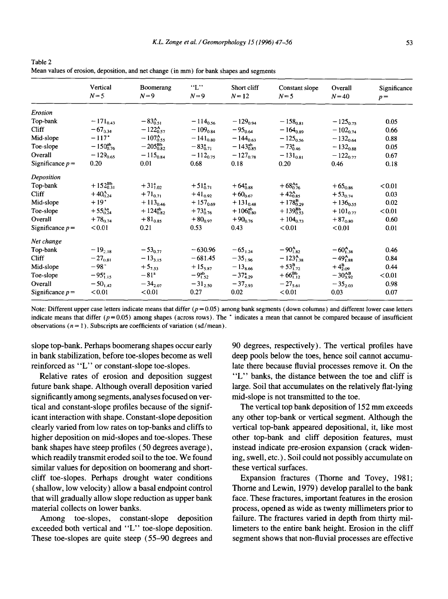|                    | Vertical             | Boomerang             | "L"                  | Short cliff          | Constant slope        | Overall           | Significance |
|--------------------|----------------------|-----------------------|----------------------|----------------------|-----------------------|-------------------|--------------|
|                    | $N = 5$              | $N=9$                 | $N=9$                | $N=12$               | $N=5$                 | $N=40$            | $p =$        |
| Erosion            |                      |                       |                      |                      |                       |                   |              |
| Top-bank           | $-171_{0.43}$        | $-83^{A}_{0.51}$      | $-114_{0.56}$        | $-129_{0.94}$        | $-158_{0.81}$         | $-125_{0.75}$     | 0.05         |
| Cliff              | $-67_{0.34}$         | $-122_{0.57}^{A}$     | $-109_{0.84}$        | $-95_{0.64}$         | $-164_{0.89}$         | $-102_{0.74}$     | 0.66         |
| Mid-slope          | $-117"$              | $-107_{0.55}^{\rm A}$ | $-141_{0.80}$        | $-144_{0.63}$        | $-125_{0.56}$         | $-132_{0.64}$     | 0.88         |
| Toe-slope          | $-150^{ab}_{0.76}$   | $-205^{Bb}_{0.82}$    | $-83^{\rm a}_{0.71}$ | $-143_{0.85}^{ab}$   | $-73^a_{0.46}$        | $-132_{0.88}$     | 0.05         |
| Overall            | $-129_{0.65}$        | $-115_{0.84}$         | $-112_{0.75}$        | $-127_{0.78}$        | $-131_{0.81}$         | $-122_{0.77}$     | 0.67         |
| Significance $p =$ | 0.20                 | 0.01                  | 0.68                 | 0.18                 | 0.20                  | 0.46              | 0.18         |
| Deposition         |                      |                       |                      |                      |                       |                   |              |
| Top-bank           | $+152^{Bb}_{0.31}$   | $+31^{a}_{1.02}$      | $+51^{a}_{0.71}$     | $+64^{3}_{0.88}$     | $+68^{Aa}_{0.76}$     | $+65_{0.86}$      | < 0.01       |
| Cliff              | $+40_{0.24}^{A}$     | $+71_{0.71}$          | $+41_{0.92}$         | $+60_{0.67}$         | $+42_{0.85}^{A}$      | $+53_{0.74}$      | 0.03         |
| Mid-slope          | $+19$ <sup>*</sup>   | $+113_{0.46}$         | $+157_{0.69}$        | $+131_{0.48}$        | $+178_{0.29}^{B}$     | $+136_{0.55}$     | 0.02         |
| Toe-slope          | $+55_{0.24}^{Aa}$    | $+124_{0.82}^{ab}$    | $+73^{\circ}_{0.76}$ | $+106^{ab}_{0.80}$   | $+139^{Bb}_{0.53}$    | $+101_{0.77}$     | < 0.01       |
| Overall            | $+78_{0.74}$         | $+81_{0.85}$          | $+80_{0.97}$         | $+90_{0.76}$         | $+104_{0.73}$         | $+87_{0.80}$      | 0.60         |
| Significance $p =$ | < 0.01               | 0.21                  | 0.53                 | 0.43                 | < 0.01                | < 0.01            | 0.01         |
| Net change         |                      |                       |                      |                      |                       |                   |              |
| Top-bank           | $-19_{2.18}$         | $-53_{0.77}$          | $-630.96$            | $-65_{1,24}$         | $-90^{A}_{1.82}$      | $-60^{A}_{1,38}$  | 0.46         |
| <b>Cliff</b>       | $-27_{0.81}$         | $-13_{3,15}$          | $-681.45$            | $-35_{1.96}$         | $-123_{1.38}^{\rm A}$ | $-49^{A}_{1.88}$  | 0.84         |
| Mid-slope          | $-98"$               | $+5_{7.53}$           | $+15_{5.87}$         | $-13_{8.66}$         | $+53_{1.72}^{B}$      | $+4^{B}_{2.09}$   | 0.44         |
| Toe-slope          | $-95^{\circ}_{1.15}$ | $-81^{a}$             | $-9^{ab}_{1.52}$     | $-37^{\rm a}_{4.29}$ | $+66^{Bb}_{1.12}$     | $-30_{3.92}^{AB}$ | < 0.01       |
| Overall            | $-50_{142}$          | $-34_{2.07}$          | $-31_{2.50}$         | $-37_{2.93}$         | $-27_{5.61}$          | $-35_{2.03}$      | 0.98         |
| Significance $p =$ | < 0.01               | < 0.01                | 0.27                 | 0.02                 | < 0.01                | 0.03              | 0.07         |

Table 2 Mean values of erosion, deposition, and net change (in mm) for bank shapes and segments

Note: Different upper case letters indicate means that differ  $(p = 0.05)$  among bank segments (down columns) and different lower case letters indicate means that differ ( $p = 0.05$ ) among shapes (across rows). The \* indicates a mean that cannot be compared because of insufficient observations  $(n = 1)$ . Subscripts are coefficients of variation (sd/mean).

slope top-bank. Perhaps boomerang shapes occur early in bank stabilization, before toe-slopes become as well reinforced as "L" or constant-slope toe-slopes.

Relative rates of erosion and deposition suggest future bank shape. Although overall deposition varied significantly among segments, analyses focused on vertical and constant-slope profiles because of the significant interaction with shape. Constant-slope deposition clearly varied from love rates on top-banks and cliffs to higher deposition on mid-slopes and toe-slopes. These bank shapes have steep profiles (50 degrees average), which readily transmit eroded soil to the toe. We found similar values for deposition on boomerang and shortcliff toe-slopes. Perhaps drought water conditions (shallow, low velocity) allow a basal endpoint control that will gradually allow slope reduction as upper bank material collects on lower banks.

Among toe-slopes, constant-slope deposition exceeded both vertical and "L" toe-slope deposition. These toe-slopes are quite steep (55-90 degrees and

90 degrees, respectively). The vertical profiles have deep pools below the toes, hence soil cannot accumulate there because fluvial processes remove it. On the "L" banks, the distance between the toe and cliff is large. Soil that accumulates on the relatively fiat-lying mid-slope is not transmitted to the toe.

The vertical top bank deposition of 152 mm exceeds any other top-bank or vertical segment. Although the vertical top-bank appeared depositional, it, like most other top-bank and cliff deposition features, must instead indicate pre-erosion expansion (crack widening, swell, etc.). Soil could not possibly accumulate on these vertical surfaces.

Expansion fractures (Thorne and Tovey, 1981; Thorne and Lewin, 1979) develop parallel to the bank face. These fractures, important features in the erosion process, opened as wide as twenty millimeters prior to failure. The fractures varied in depth from thirty millimeters to the entire bank height. Erosion in the cliff segment shows that non-fluvial processes are effective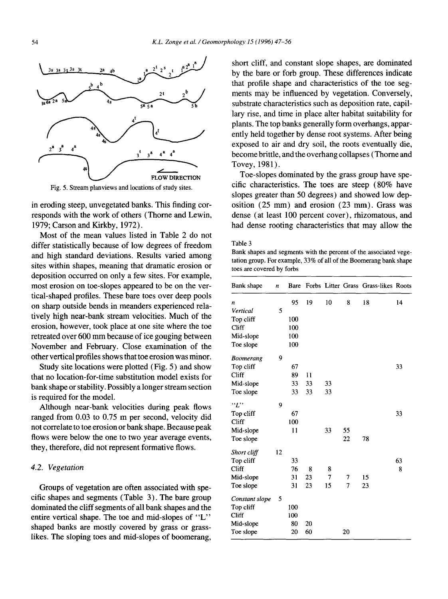

Fig. 5. Stream planviews and locations of study sites.

in eroding steep, unvegetated banks. This finding corresponds with the work of others (Thome and Lewin, 1979; Carson and Kirkby, 1972).

Most of the mean values listed in Table 2 do not differ statistically because of low degrees of freedom and high standard deviations. Results varied among sites within shapes, meaning that dramatic erosion or deposition occurred on only a few sites. For example, most erosion on toe-slopes appeared to be on the vertical-shaped profiles. These bare toes over deep pools on sharp outside bends in meanders experienced relatively high near-bank stream velocities. Much of the erosion, however, took place at one site where the toe retreated over 600 mm because of ice gouging between November and February. Close examination of the other vertical profiles shows that toe erosion was minor.

Study site locations were plotted (Fig. 5) and show that no location-for-time substitution model exists for bank shape or stability. Possibly a longer stream section is required for the model.

Although near-bank velocities during peak flows ranged from 0.03 to 0.75 m per second, velocity did not correlate to toe erosion or bank shape. Because peak flows were below the one to two year average events, they, therefore, did not represent formative flows.

#### *4.2. Vegetation*

Groups of vegetation are often associated with specific shapes and segments (Table 3). The bare group dominated the cliff segments of all bank shapes and the entire vertical shape. The toe and mid-slopes of "L" shaped banks are mostly covered by grass or grasslikes. The sloping toes and mid-slopes of boomerang,

short cliff, and constant slope shapes, are dominated by the bare or forb group. These differences indicate that profile shape and characteristics of the toe segments may be influenced by vegetation. Conversely, substrate characteristics such as deposition rate, capillary rise, and time in place alter habitat suitability for plants. The top banks generally form overhangs, apparently held together by dense root systems. After being exposed to air and dry soil, the roots eventually die, become brittle, and the overhang collapses (Thorne and Tovey, 1981).

Toe-slopes dominated by the grass group have specific characteristics. The toes are steep (80% have slopes greater than 50 degrees) and showed low deposition (25 mm) and erosion (23 mm). Grass was dense (at least 100 percent cover), rhizomatous, and had dense rooting characteristics that may allow the

#### Table 3

Bank shapes and segments with the percent of the associated vegetation group. For example, 33% of all of the Boomerang bank shape toes are covered by forbs

| Bank shape     | n  | Bare |    |    |    | Forbs Litter Grass Grass-likes Roots |    |
|----------------|----|------|----|----|----|--------------------------------------|----|
| n              |    | 95   | 19 | 10 | 8  | 18                                   | 14 |
| Vertical       | 5  |      |    |    |    |                                      |    |
| Top cliff      |    | 100  |    |    |    |                                      |    |
| Cliff          |    | 100  |    |    |    |                                      |    |
| Mid-slope      |    | 100  |    |    |    |                                      |    |
| Toe slope      |    | 100  |    |    |    |                                      |    |
| Boomerang      | 9  |      |    |    |    |                                      |    |
| Top cliff      |    | 67   |    |    |    |                                      | 33 |
| Cliff          |    | 89   | 11 |    |    |                                      |    |
| Mid-slope      |    | 33   | 33 | 33 |    |                                      |    |
| Toe slope      |    | 33   | 33 | 33 |    |                                      |    |
| $\lq\lq T$     | 9  |      |    |    |    |                                      |    |
| Top cliff      |    | 67   |    |    |    |                                      | 33 |
| Cliff          |    | 100  |    |    |    |                                      |    |
| Mid-slope      |    | 11   |    | 33 | 55 |                                      |    |
| Toe slope      |    |      |    |    | 22 | 78                                   |    |
| Short cliff    | 12 |      |    |    |    |                                      |    |
| Top cliff      |    | 33   |    |    |    |                                      | 63 |
| Cliff          |    | 76   | 8  | 8  |    |                                      | 8  |
| Mid-slope      |    | 31   | 23 | 7  | 7  | 15                                   |    |
| Toe slope      |    | 31   | 23 | 15 | 7  | 23                                   |    |
| Constant slope | 5  |      |    |    |    |                                      |    |
| Top cliff      |    | 100  |    |    |    |                                      |    |
| Cliff          |    | 100  |    |    |    |                                      |    |
| Mid-slope      |    | 80   | 20 |    |    |                                      |    |
| Toe slope      |    | 20   | 60 |    | 20 |                                      |    |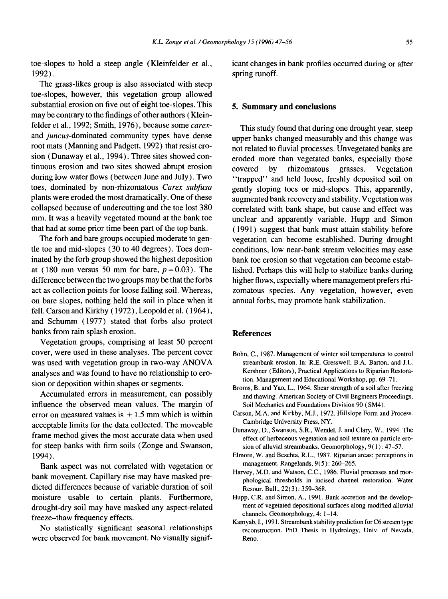toe-slopes to hold a steep angle (Kleinfelder et al., 1992).

The grass-likes group is also associated with steep toe-slopes, however, this vegetation group allowed substantial erosion on five out of eight toe-slopes. This may be contrary to the findings of other authors (Kleinfelder et al., 1992; Smith, 1976), because some *carex*and *juncus-dominated* community types have dense root mats (Manning and Padgett, 1992) that resist erosion (Dunaway et al., 1994). Three sites showed continuous erosion and two sites showed abrupt erosion during low water flows (between June and July). Two toes, dominated by non-rhizomatous *Carex subfusa*  plants were eroded the most dramatically. One of these collapsed because of undercutting and the toe lost 380 mm. It was a heavily vegetated mound at the bank toe that had at some prior time been part of the top bank.

The forb and bare groups occupied moderate to gentle toe and mid-slopes (30 to 40 degrees). Toes dominated by the forb group showed the highest deposition at (180 mm versus 50 mm for bare,  $p=0.03$ ). The difference between the two groups may be that the forbs act as collection points for loose falling soil. Whereas, on bare slopes, nothing held the soil in place when it fell. Carson and Kirkby (1972), Leopold et al. (1964), and Schumm (1977) stated that forbs also protect banks from rain splash erosion.

Vegetation groups, comprising at least 50 percent cover, were used in these analyses. The percent cover was used with vegetation group in two-way ANOVA analyses and was found to have no relationship to erosion or deposition within shapes or segments.

Accumulated errors in measurement, can possibly influence the observed mean values. The margin of error on measured values is  $\pm$  1.5 mm which is within acceptable limits for the data collected. The moveable frame method gives the most accurate data when used for steep banks with firm soils (Zonge and Swanson, 1994).

Bank aspect was not correlated with vegetation or bank movement. Capillary rise may have masked predicted differences because of variable duration of soil moisture usable, to certain plants. Furthermore, drought-dry soil may have masked any aspect-related freeze-thaw frequency effects.

No statistically significant seasonal relationships were observed for bank movement. No visually significant changes in bank profiles occurred during or after spring runoff.

# **5. Summary and conclusions**

This study found that during one drought year, steep upper banks changed measurably and this change was not related to fluvial processes. Unvegetated banks are eroded more than vegetated banks, especially those covered by rhizomatous grasses. Vegetation "trapped" and held loose, freshly deposited soil on gently sloping toes or mid-slopes. This, apparently, augmented bank recovery and stability. Vegetation was correlated with bank shape, but cause and effect was unclear and apparently variable. Hupp and Simon (1991) suggest that bank must attain stability before vegetation can become established. During drought conditions, low near-bank stream velocities may ease bank toe erosion so that vegetation can become established. Perhaps this will help to stabilize banks during higher flows, especially where management prefers rhizomatous species. Any vegetation, however, even annual forbs, may promote bank stabilization.

#### **References**

- Bohn, C., 1987. Management of winter soil temperatures to control streambank erosion. In: R.E. Gresswell, B.A. Barton, and J.L. Kershner (Editors), Practical Applications to Riparian Restoration. Management and Educational Workshop, pp. 69-71.
- Broms, B. and Yao, L., 1964. Shear strength of a soil after freezing and thawing. American Society of Civil Engineers Proceedings, Soil Mechanics and Foundations Division 90 (SM4).
- Carson, M.A. and Kirkby, M.J., 1972. Hillslope Form and Process. Cambridge University Press, NY.
- Dunaway, D., Swanson, S.R., Wendel, J. and Clary, W., 1994. The effect of herbaceous vegetation and soil texture on particle erosion of alluvial streambanks. Geomorphology, 9( 1 ): 47-57.
- Elmore, W. and Beschta, R.L., 1987. Riparian areas: perceptions in management. Rangelands, 9(5): 260-265.
- Harvey, M.D. and Watson, C.C., 1986. Fluvial processes and morphological thresholds in incised channel restoration. Water Resour. Bull., 22(3): 359-368.
- Hupp, C.R. and Simon, A., 1991. Bank accretion and the development of vegetated depositional surfaces along modified alluvial channels. Geomorphology, 4: 1-14.
- Kamyab, I., 1991. Streambank stability prediction for C6 stream type reconstruction. PhD Thesis in Hydrology, Univ. of Nevada, Reno.